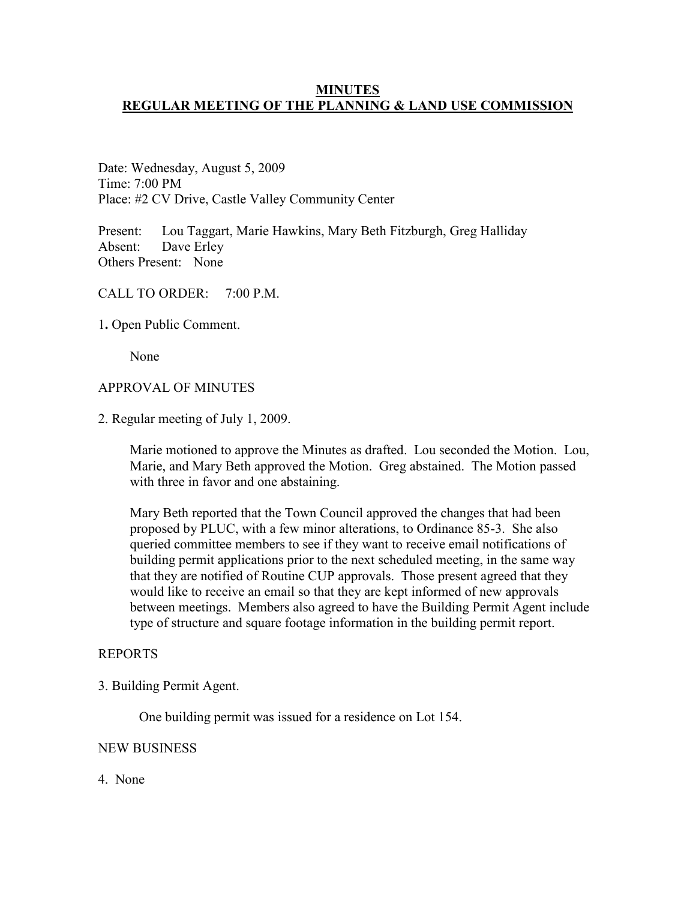## **MINUTES REGULAR MEETING OF THE PLANNING & LAND USE COMMISSION**

Date: Wednesday, August 5, 2009 Time: 7:00 PM Place: #2 CV Drive, Castle Valley Community Center

Present: Lou Taggart, Marie Hawkins, Mary Beth Fitzburgh, Greg Halliday Absent: Dave Erley Others Present: None

CALL TO ORDER: 7:00 P.M.

1**.** Open Public Comment.

None

## APPROVAL OF MINUTES

2. Regular meeting of July 1, 2009.

Marie motioned to approve the Minutes as drafted. Lou seconded the Motion. Lou, Marie, and Mary Beth approved the Motion. Greg abstained. The Motion passed with three in favor and one abstaining.

Mary Beth reported that the Town Council approved the changes that had been proposed by PLUC, with a few minor alterations, to Ordinance 85-3. She also queried committee members to see if they want to receive email notifications of building permit applications prior to the next scheduled meeting, in the same way that they are notified of Routine CUP approvals. Those present agreed that they would like to receive an email so that they are kept informed of new approvals between meetings. Members also agreed to have the Building Permit Agent include type of structure and square footage information in the building permit report.

## REPORTS

3. Building Permit Agent.

One building permit was issued for a residence on Lot 154.

### NEW BUSINESS

4. None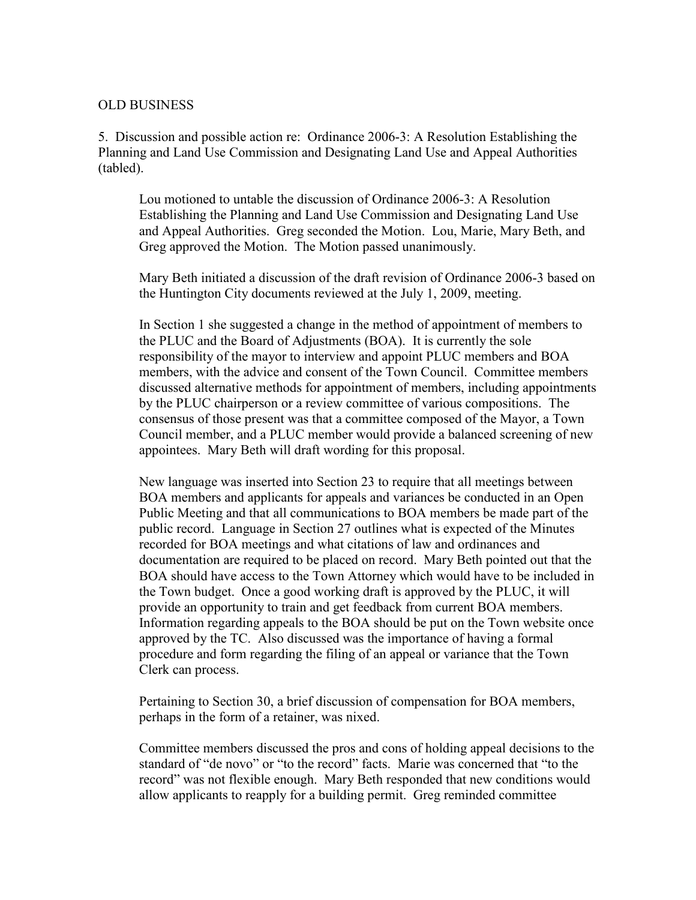## OLD BUSINESS

5. Discussion and possible action re: Ordinance 2006-3: A Resolution Establishing the Planning and Land Use Commission and Designating Land Use and Appeal Authorities (tabled).

Lou motioned to untable the discussion of Ordinance 2006-3: A Resolution Establishing the Planning and Land Use Commission and Designating Land Use and Appeal Authorities. Greg seconded the Motion. Lou, Marie, Mary Beth, and Greg approved the Motion. The Motion passed unanimously.

Mary Beth initiated a discussion of the draft revision of Ordinance 2006-3 based on the Huntington City documents reviewed at the July 1, 2009, meeting.

In Section 1 she suggested a change in the method of appointment of members to the PLUC and the Board of Adjustments (BOA). It is currently the sole responsibility of the mayor to interview and appoint PLUC members and BOA members, with the advice and consent of the Town Council. Committee members discussed alternative methods for appointment of members, including appointments by the PLUC chairperson or a review committee of various compositions. The consensus of those present was that a committee composed of the Mayor, a Town Council member, and a PLUC member would provide a balanced screening of new appointees. Mary Beth will draft wording for this proposal.

New language was inserted into Section 23 to require that all meetings between BOA members and applicants for appeals and variances be conducted in an Open Public Meeting and that all communications to BOA members be made part of the public record. Language in Section 27 outlines what is expected of the Minutes recorded for BOA meetings and what citations of law and ordinances and documentation are required to be placed on record. Mary Beth pointed out that the BOA should have access to the Town Attorney which would have to be included in the Town budget. Once a good working draft is approved by the PLUC, it will provide an opportunity to train and get feedback from current BOA members. Information regarding appeals to the BOA should be put on the Town website once approved by the TC. Also discussed was the importance of having a formal procedure and form regarding the filing of an appeal or variance that the Town Clerk can process.

Pertaining to Section 30, a brief discussion of compensation for BOA members, perhaps in the form of a retainer, was nixed.

Committee members discussed the pros and cons of holding appeal decisions to the standard of "de novo" or "to the record" facts. Marie was concerned that "to the record" was not flexible enough. Mary Beth responded that new conditions would allow applicants to reapply for a building permit. Greg reminded committee